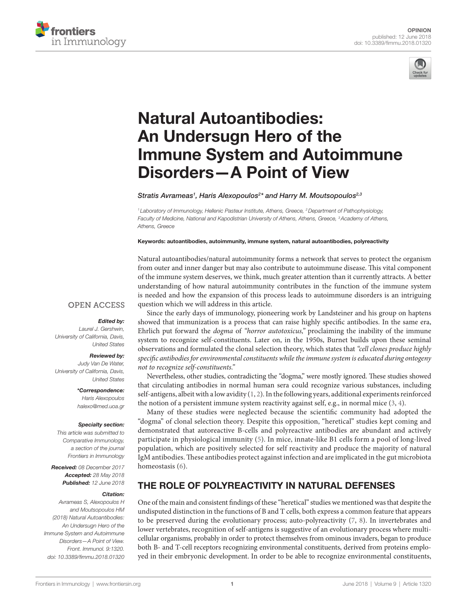



# **Natural Autoantibodies:** An Undersugn Hero of the **Immune System and Autoimmune Disorders-A Point of View**

[Stratis Avrameas](https://loop.frontiersin.org/people/221997)<sup>1</sup>, Haris Alexopoulos<sup>2\*</sup> and Harry M. Moutsopoulos<sup>2,3</sup>

<sup>1</sup> Laboratory of Immunology, Hellenic Pasteur Institute, Athens, Greece, <sup>2</sup> Department of Pathophysiology, *Faculty of Medicine, National and Kapodistrian University of Athens, Athens, Greece, 3Academy of Athens, Athens, Greece*

Keywords: autoantibodies, autoimmunity, immune system, natural autoantibodies, polyreactivity

Natural autoantibodies/natural autoimmunity forms a network that serves to protect the organism from outer and inner danger but may also contribute to autoimmune disease. This vital component of the immune system deserves, we think, much greater attention than it currently attracts. A better understanding of how natural autoimmunity contributes in the function of the immune system is needed and how the expansion of this process leads to autoimmune disorders is an intriguing question which we will address in this article.

### **OPEN ACCESS**

#### *Edited by:*

*Laurel J. Gershwin, University of California, Davis, United States*

#### *Reviewed by:*

*Judy Van De Water, University of California, Davis, United States*

> *\*Correspondence: Haris Alexopoulos*

> *[halexo@med.uoa.gr](mailto:halexo@med.uoa.gr)*

#### *Specialty section:*

*This article was submitted to Comparative Immunology, a section of the journal Frontiers in Immunology*

*Received: 08 December 2017 Accepted: 28 May 2018 Published: 12 June 2018*

#### *Citation:*

*Avrameas S, Alexopoulos H and Moutsopoulos HM (2018) Natural Autoantibodies: An Undersugn Hero of the Immune System and Autoimmune Disorders—A Point of View. Front. Immunol. 9:1320. doi: [10.3389/fimmu.2018.01320](https://doi.org/10.3389/fimmu.2018.01320)*

Since the early days of immunology, pioneering work by Landsteiner and his group on haptens showed that immunization is a process that can raise highly specific antibodies. In the same era, Ehrlich put forward the *dogma* of *"horror autotoxicus,"* proclaiming the inability of the immune system to recognize self-constituents. Later on, in the 1950s, Burnet builds upon these seminal observations and formulated the clonal selection theory, which states that *"cell clones produce highly specific antibodies for environmental constituents while the immune system is educated during ontogeny not to recognize self-constituents."*

Nevertheless, other studies, contradicting the "dogma," were mostly ignored. These studies showed that circulating antibodies in normal human sera could recognize various substances, including self-antigens, albeit with a low avidity  $(1, 2)$  $(1, 2)$ . In the following years, additional experiments reinforced the notion of a persistent immune system reactivity against self, e.g., in normal mice ([3,](#page-2-2) [4](#page-2-3)).

Many of these studies were neglected because the scientific community had adopted the "dogma" of clonal selection theory. Despite this opposition, "heretical" studies kept coming and demonstrated that autoreactive B-cells and polyreactive antibodies are abundant and actively participate in physiological immunity [\(5](#page-2-4)). In mice, innate-like B1 cells form a pool of long-lived population, which are positively selected for self reactivity and produce the majority of natural IgM antibodies. These antibodies protect against infection and are implicated in the gut microbiota homeostasis ([6\)](#page-2-5).

# THE ROLE OF POLYREACTIVITY IN NATURAL DEFENSES

One of the main and consistent findings of these "heretical" studies we mentioned was that despite the undisputed distinction in the functions of B and T cells, both express a common feature that appears to be preserved during the evolutionary process; auto-polyreactivity  $(7, 8)$  $(7, 8)$  $(7, 8)$ . In invertebrates and lower vertebrates, recognition of self-antigens is suggestive of an evolutionary process where multicellular organisms, probably in order to protect themselves from ominous invaders, began to produce both B- and T-cell receptors recognizing environmental constituents, derived from proteins employed in their embryonic development. In order to be able to recognize environmental constituents,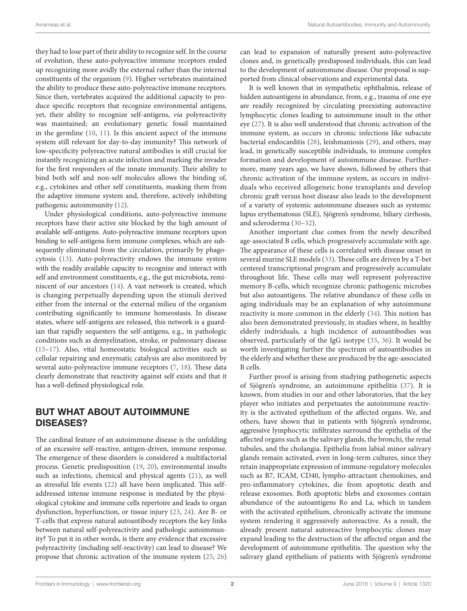they had to lose part of their ability to recognize self. In the course of evolution, these auto-polyreactive immune receptors ended up recognizing more avidly the external rather than the internal constituents of the organism [\(9\)](#page-2-8). Higher vertebrates maintained the ability to produce these auto-polyreactive immune receptors. Since then, vertebrates acquired the additional capacity to produce specific receptors that recognize environmental antigens, yet, their ability to recognize self-antigens, *via* polyreactivity was maintained; an evolutionary genetic fossil maintained in the germline ([10,](#page-2-9) [11](#page-2-10)). Is this ancient aspect of the immune system still relevant for day-to-day immunity? This network of low-specificity polyreactive natural antibodies is still crucial for instantly recognizing an acute infection and marking the invader for the first responders of the innate immunity. Their ability to bind both self and non-self molecules allows the binding of, e.g., cytokines and other self constituents, masking them from the adaptive immune system and, therefore, actively inhibiting pathogenic autoimmunity [\(12](#page-2-11)).

Under physiological conditions, auto-polyreactive immune receptors have their active site blocked by the high amount of available self-antigens. Auto-polyreactive immune receptors upon binding to self-antigens form immune complexes, which are subsequently eliminated from the circulation, primarily by phagocytosis ([13\)](#page-2-12). Auto-polyreactivity endows the immune system with the readily available capacity to recognize and interact with self and environment constituents, e.g., the gut microbiota, reminiscent of our ancestors [\(14](#page-2-13)). A vast network is created, which is changing perpetually depending upon the stimuli derived either from the internal or the external milieu of the organism contributing significantly to immune homeostasis. In disease states, where self-antigens are released, this network is a guardian that rapidly sequesters the self-antigens, e.g., in pathologic conditions such as demyelination, stroke, or pulmonary disease ([15–](#page-2-14)[17\)](#page-2-15). Also, vital homeostatic biological activities such as cellular repairing and enzymatic catalysis are also monitored by several auto-polyreactive immune receptors ([7](#page-2-6), [18](#page-2-16)). These data clearly demonstrate that reactivity against self exists and that it has a well-defined physiological role.

## BUT WHAT ABOUT AUTOIMMUNE DISEASES?

The cardinal feature of an autoimmune disease is the unfolding of an excessive self-reactive, antigen-driven, immune response. The emergence of these disorders is considered a multifactorial process. Genetic predisposition ([19](#page-2-17), [20\)](#page-2-18), environmental insults such as infections, chemical and physical agents ([21\)](#page-2-19), as well as stressful life events ([22\)](#page-2-20) all have been implicated. This selfaddressed intense immune response is mediated by the physiological cytokine and immune cells repertoire and leads to organ dysfunction, hyperfunction, or tissue injury [\(23](#page-2-21), [24\)](#page-2-22). Are B- or T-cells that express natural autoantibody receptors the key links between natural self-polyreactivity and pathologic autoimmunity? To put it in other words, is there any evidence that excessive polyreactivity (including self-reactivity) can lead to disease? We propose that chronic activation of the immune system [\(25,](#page-2-23) [26\)](#page-2-24) can lead to expansion of naturally present auto-polyreactive clones and, in genetically predisposed individuals, this can lead to the development of autoimmune disease. Our proposal is supported from clinical observations and experimental data.

It is well known that in sympathetic ophthalmia, release of hidden autoantigens in abundance, from, e.g., trauma of one eye are readily recognized by circulating preexisting autoreactive lymphocytic clones leading to autoimmune insult in the other eye [\(27](#page-2-25)). It is also well understood that chronic activation of the immune system, as occurs in chronic infections like subacute bacterial endocarditis [\(28](#page-2-26)), leishmaniosis [\(29](#page-2-27)), and others, may lead, in genetically susceptible individuals, to immune complex formation and development of autoimmune disease. Furthermore, many years ago, we have shown, followed by others that chronic activation of the immune system, as occurs in individuals who received allogeneic bone transplants and develop chronic graft versus host disease also leads to the development of a variety of systemic autoimmune diseases such as systemic lupus erythematosus (SLE), Sjögren's syndrome, biliary cirrhosis, and scleroderma ([30–](#page-2-28)[32](#page-2-29)).

Another important clue comes from the newly described age-associated B cells, which progressively accumulate with age. The appearance of these cells is correlated with disease onset in several murine SLE models ([33](#page-2-30)). These cells are driven by a T-bet centered transcriptional program and progressively accumulate throughout life. These cells may well represent polyreactive memory B-cells, which recognize chronic pathogenic microbes but also autoantigens. The relative abundance of these cells in aging individuals may be an explanation of why autoimmune reactivity is more common in the elderly ([34](#page-3-0)). This notion has also been demonstrated previously, in studies where, in healthy elderly individuals, a high incidence of autoantibodies was observed, particularly of the IgG isotype [\(35](#page-3-1), [36\)](#page-3-2). It would be worth investigating further the spectrum of autoantibodies in the elderly and whether these are produced by the age-associated B cells.

Further proof is arising from studying pathogenetic aspects of Sjögren's syndrome, an autoimmune epithelitis [\(37](#page-3-3)). It is known, from studies in our and other laboratories, that the key player who initiates and perpetuates the autoimmune reactivity is the activated epithelium of the affected organs. We, and others, have shown that in patients with Sjögren's syndrome, aggressive lymphocytic infiltrates surround the epithelia of the affected organs such as the salivary glands, the bronchi, the renal tubules, and the cholangia. Epithelia from labial minor salivary glands remain activated, even in long-term cultures, since they retain inappropriate expression of immune-regulatory molecules such as B7, ICAM, CD40, lympho-attractant chemokines, and pro-inflammatory cytokines, die from apoptotic death and release exosomes. Both apoptotic blebs and exosomes contain abundance of the autoantigens Ro and La, which in tandem with the activated epithelium, chronically activate the immune system rendering it aggressively autoreactive. As a result, the already present natural autoreactive lymphocytic clones may expand leading to the destruction of the affected organ and the development of autoimmune epithelitis. The question why the salivary gland epithelium of patients with Sjögren's syndrome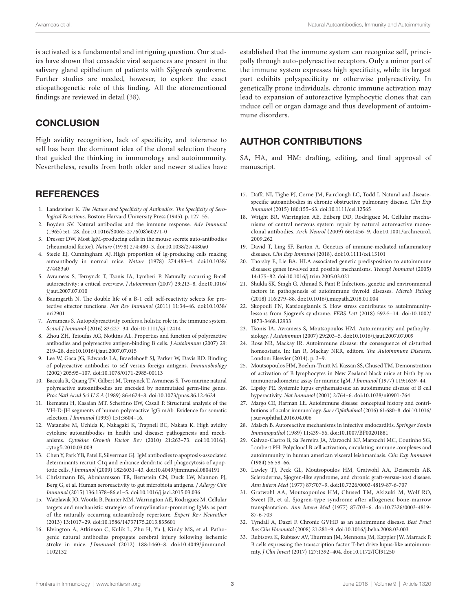is activated is a fundamental and intriguing question. Our studies have shown that coxsackie viral sequences are present in the salivary gland epithelium of patients with Sjögren's syndrome. Further studies are needed, however, to explore the exact etiopathogenetic role of this finding. All the aforementioned findings are reviewed in detail ([38\)](#page-3-4).

### **CONCLUSION**

High avidity recognition, lack of specificity, and tolerance to self has been the dominant idea of the clonal selection theory that guided the thinking in immunology and autoimmunity. Nevertheless, results from both older and newer studies have

### **REFERENCES**

- <span id="page-2-0"></span>1. Landsteiner K. *The Nature and Specificity of Antibodies. The Specificity of Serological Reactions*. Boston: Harvard University Press (1945). p. 127–55.
- <span id="page-2-1"></span>2. Boyden SV. Natural antibodies and the immune response. *Adv Immunol* (1965) 5:1–28. doi[:10.1016/S0065-2776\(08\)60271-0](https://doi.org/10.1016/S0065-2776(08)60271-0)
- <span id="page-2-2"></span>3. Dresser DW. Most IgM-producing cells in the mouse secrete auto-antibodies (rheumatoid factor). *Nature* (1978) 274:480–3. doi[:10.1038/274480a0](https://doi.org/10.1038/274480a0)
- <span id="page-2-3"></span>4. Steele EJ, Cunningham AJ. High proportion of Ig-producing cells making autoantibody in normal mice. *Nature* (1978) 274:483–4. doi[:10.1038/](https://doi.org/10.1038/
274483a0) [274483a0](https://doi.org/10.1038/
274483a0)
- <span id="page-2-4"></span>5. Avrameas S, Ternynck T, Tsonis IA, Lymberi P. Naturally occurring B-cell autoreactivity: a critical overview. *J Autoimmun* (2007) 29:213–8. doi[:10.1016/](https://doi.org/10.1016/
j.jaut.2007.07.010) [j.jaut.2007.07.010](https://doi.org/10.1016/
j.jaut.2007.07.010)
- <span id="page-2-5"></span>6. Baumgarth N. The double life of a B-1 cell: self-reactivity selects for protective effector functions. *Nat Rev Immunol* (2011) 11:34–46. doi[:10.1038/](https://doi.org/10.1038/
nri2901) [nri2901](https://doi.org/10.1038/
nri2901)
- <span id="page-2-6"></span>7. Avrameas S. Autopolyreactivity confers a holistic role in the immune system. *Scand J Immunol* (2016) 83:227–34. doi[:10.1111/sji.12414](https://doi.org/10.1111/sji.12414)
- <span id="page-2-7"></span>8. Zhou ZH, Tzioufas AG, Notkins AL. Properties and function of polyreactive antibodies and polyreactive antigen-binding B cells. *J Autoimmun* (2007) 29: 219–28. doi[:10.1016/j.jaut.2007.07.015](https://doi.org/10.1016/j.jaut.2007.07.015)
- <span id="page-2-8"></span>9. Lee W, Gaca JG, Edwards LA, Braedehoeft SJ, Parker W, Davis RD. Binding of polyreactive antibodies to self versus foreign antigens. *Immunobiology* (2002) 205:95–107. doi:[10.1078/0171-2985-00113](https://doi.org/10.1078/0171-2985-00113)
- <span id="page-2-9"></span>10. Baccala R, Quang TV, Gilbert M, Ternynck T, Avrameas S. Two murine natural polyreactive autoantibodies are encoded by nonmutated germ-line genes. *Proc Natl Acad Sci U S A* (1989) 86:4624–8. doi[:10.1073/pnas.86.12.4624](https://doi.org/10.1073/pnas.86.12.4624)
- <span id="page-2-10"></span>11. Ikematsu H, Kasaian MT, Schettino EW, Casali P. Structural analysis of the VH-D-JH segments of human polyreactive IgG mAb. Evidence for somatic selection. *J Immunol* (1993) 151:3604–16.
- <span id="page-2-11"></span>12. Watanabe M, Uchida K, Nakagaki K, Trapnell BC, Nakata K. High avidity cytokine autoantibodies in health and disease: pathogenesis and mechanisms. *Cytokine Growth Factor Rev* (2010) 21:263–73. doi:[10.1016/j.](https://doi.org/10.1016/j.cytogfr.2010.03.003) [cytogfr.2010.03.003](https://doi.org/10.1016/j.cytogfr.2010.03.003)
- <span id="page-2-12"></span>13. Chen Y, Park YB, Patel E, Silverman GJ. IgM antibodies to apoptosis-associated determinants recruit C1q and enhance dendritic cell phagocytosis of apoptotic cells. *J Immunol* (2009) 182:6031–43. doi:[10.4049/jimmunol.0804191](https://doi.org/10.4049/jimmunol.0804191)
- <span id="page-2-13"></span>14. Christmann BS, Abrahamsson TR, Bernstein CN, Duck LW, Mannon PJ, Berg G, et al. Human seroreactivity to gut microbiota antigens. *J Allergy Clin Immunol* (2015) 136:1378–86.e1–5. doi[:10.1016/j.jaci.2015.03.036](https://doi.org/10.1016/j.jaci.2015.03.036)
- <span id="page-2-14"></span>15. Watzlawik JO, Wootla B, Painter MM, Warrington AE, Rodriguez M. Cellular targets and mechanistic strategies of remyelination-promoting IgMs as part of the naturally occurring autoantibody repertoire. *Expert Rev Neurother* (2013) 13:1017–29. doi:[10.1586/14737175.2013.835601](https://doi.org/10.1586/14737175.2013.835601)
- 16. Elvington A, Atkinson C, Kulik L, Zhu H, Yu J, Kindy MS, et al. Pathogenic natural antibodies propagate cerebral injury following ischemic stroke in mice. *J Immunol* (2012) 188:1460–8. doi:[10.4049/jimmunol.](https://doi.org/10.4049/jimmunol.
1102132) [1102132](https://doi.org/10.4049/jimmunol.
1102132)

established that the immune system can recognize self, principally through auto-polyreactive receptors. Only a minor part of the immune system expresses high specificity, while its largest part exhibits polyspecificity or otherwise polyreactivity. In genetically prone individuals, chronic immune activation may lead to expansion of autoreactive lymphocytic clones that can induce cell or organ damage and thus development of autoimmune disorders.

### AUTHOR CONTRIBUTIONS

SA, HA, and HM: drafting, editing, and final approval of manuscript.

- <span id="page-2-15"></span>17. Daffa NI, Tighe PJ, Corne JM, Fairclough LC, Todd I. Natural and diseasespecific autoantibodies in chronic obstructive pulmonary disease. *Clin Exp Immunol* (2015) 180:155–63. doi[:10.1111/cei.12565](https://doi.org/10.1111/cei.12565)
- <span id="page-2-16"></span>18. Wright BR, Warrington AE, Edberg DD, Rodriguez M. Cellular mechanisms of central nervous system repair by natural autoreactive monoclonal antibodies. *Arch Neurol* (2009) 66:1456–9. doi:[10.1001/archneurol.](https://doi.org/10.1001/archneurol.
2009.262) 2009.262
- <span id="page-2-17"></span>19. David T, Ling SF, Barton A. Genetics of immune-mediated inflammatory diseases. *Clin Exp Immunol* (2018). doi[:10.1111/cei.13101](https://doi.org/10.1111/cei.13101)
- <span id="page-2-18"></span>20. Thorsby E, Lie BA. HLA associated genetic predisposition to autoimmune diseases: genes involved and possible mechanisms. *Transpl Immunol* (2005) 14:175–82. doi:[10.1016/j.trim.2005.03.021](https://doi.org/10.1016/j.trim.2005.03.021)
- <span id="page-2-19"></span>21. Shukla SK, Singh G, Ahmad S, Pant P. Infections, genetic and environmental factors in pathogenesis of autoimmune thyroid diseases. *Microb Pathog* (2018) 116:279–88. doi:[10.1016/j.micpath.2018.01.004](https://doi.org/10.1016/j.micpath.2018.01.004)
- <span id="page-2-20"></span>22. Skopouli FN, Katsiougiannis S. How stress contributes to autoimmunitylessons from Sjogren's syndrome. *FEBS Lett* (2018) 592:5–14. doi[:10.1002/](https://doi.org/10.1002/
1873-3468.12933) [1873-3468.12933](https://doi.org/10.1002/
1873-3468.12933)
- <span id="page-2-21"></span>23. Tsonis IA, Avrameas S, Moutsopoulos HM. Autoimmunity and pathophysiology. *J Autoimmun* (2007) 29:203–5. doi[:10.1016/j.jaut.2007.07.009](https://doi.org/10.1016/j.jaut.2007.07.009)
- <span id="page-2-22"></span>24. Rose NR, Mackay IR. Autoimmune disease: the consequence of disturbed homeostasis. In: Ian R, Mackay NRR, editors. *The Autoimmune Diseases*. London: Elsevier (2014). p. 3–9.
- <span id="page-2-23"></span>25. Moutsopoulos HM, Boehm-Truitt M, Kassan SS, Chused TM. Demonstration of activation of B lymphocytes in New Zealand black mice at birth by an immunoradiometric assay for murine IgM. *J Immunol* (1977) 119:1639–44.
- <span id="page-2-24"></span>26. Lipsky PE. Systemic lupus erythematosus: an autoimmune disease of B cell hyperactivity. *Nat Immunol* (2001) 2:764–6. doi[:10.1038/ni0901-764](https://doi.org/10.1038/ni0901-764)
- <span id="page-2-25"></span>27. Margo CE, Harman LE. Autoimmune disease: conceptual history and contributions of ocular immunology. *Surv Ophthalmol* (2016) 61:680–8. doi[:10.1016/](https://doi.org/10.1016/j.survophthal.2016.04.006) [j.survophthal.2016.04.006](https://doi.org/10.1016/j.survophthal.2016.04.006)
- <span id="page-2-26"></span>28. Maisch B. Autoreactive mechanisms in infective endocarditis. *Springer Semin Immunopathol* (1989) 11:439–56. doi[:10.1007/BF00201881](https://doi.org/10.1007/BF00201881)
- <span id="page-2-27"></span>29. Galvao-Castro B, Sa Ferreira JA, Marzochi KF, Marzochi MC, Coutinho SG, Lambert PH. Polyclonal B cell activation, circulating immune complexes and autoimmunity in human american visceral leishmaniasis. *Clin Exp Immunol* (1984) 56:58–66.
- <span id="page-2-28"></span>30. Lawley TJ, Peck GL, Moutsopoulos HM, Gratwohl AA, Deisseroth AB. Scleroderma, Sjogren-like syndrome, and chronic graft-versus-host disease. *Ann Intern Med* (1977) 87:707–9. doi[:10.7326/0003-4819-87-6-707](https://doi.org/10.7326/0003-4819-87-6-707)
- 31. Gratwohl AA, Moutsopoulos HM, Chused TM, Akizuki M, Wolf RO, Sweet JB, et al. Sjogren-type syndrome after allogeneic bone-marrow transplantation. *Ann Intern Med* (1977) 87:703–6. doi:[10.7326/0003-4819-](https://doi.org/10.7326/0003-4819-
87-6-703) [87-6-703](https://doi.org/10.7326/0003-4819-
87-6-703)
- <span id="page-2-29"></span>32. Tyndall A, Dazzi F. Chronic GVHD as an autoimmune disease. *Best Pract Res Clin Haematol* (2008) 21:281–9. doi:[10.1016/j.beha.2008.03.003](https://doi.org/10.1016/j.beha.2008.03.003)
- <span id="page-2-30"></span>33. Rubtsova K, Rubtsov AV, Thurman JM, Mennona JM, Kappler JW, Marrack P. B cells expressing the transcription factor T-bet drive lupus-like autoimmunity. *J Clin Invest* (2017) 127:1392–404. doi:[10.1172/JCI91250](https://doi.org/10.1172/JCI91250)